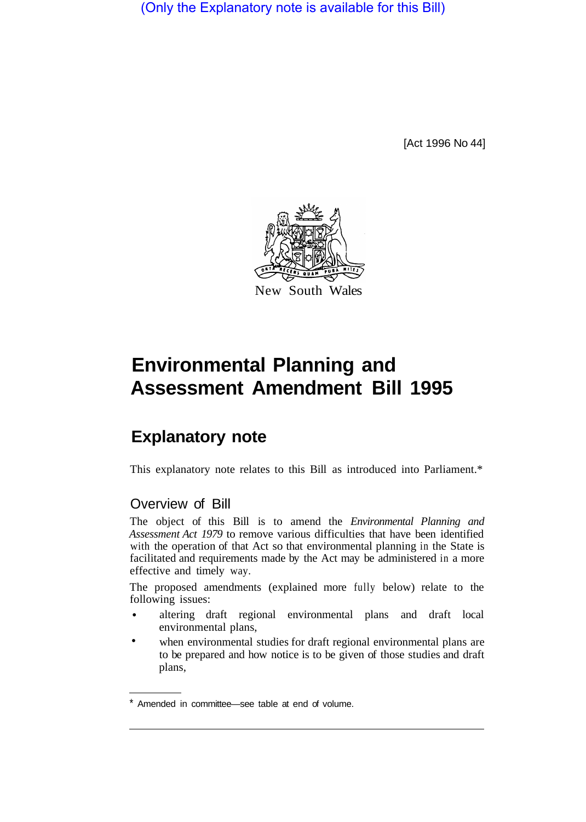(Only the Explanatory note is available for this Bill)

[Act 1996 No 44]



# **Environmental Planning and Assessment Amendment Bill 1995**

## **Explanatory note**

This explanatory note relates to this Bill as introduced into Parliament.\*

## Overview of Bill

The object of this Bill is to amend the *Environmental Planning and Assessment Act 1979* to remove various difficulties that have been identified with the operation of that Act so that environmental planning in the State is facilitated and requirements made by the Act may be administered in a more effective and timely way.

The proposed amendments (explained more fully below) relate to the following issues:

- altering draft regional environmental plans and draft local environmental plans, •
- when environmental studies for draft regional environmental plans are to be prepared and how notice is to be given of those studies and draft plans, •

<sup>\*</sup> Amended in committee—see table at end of volume.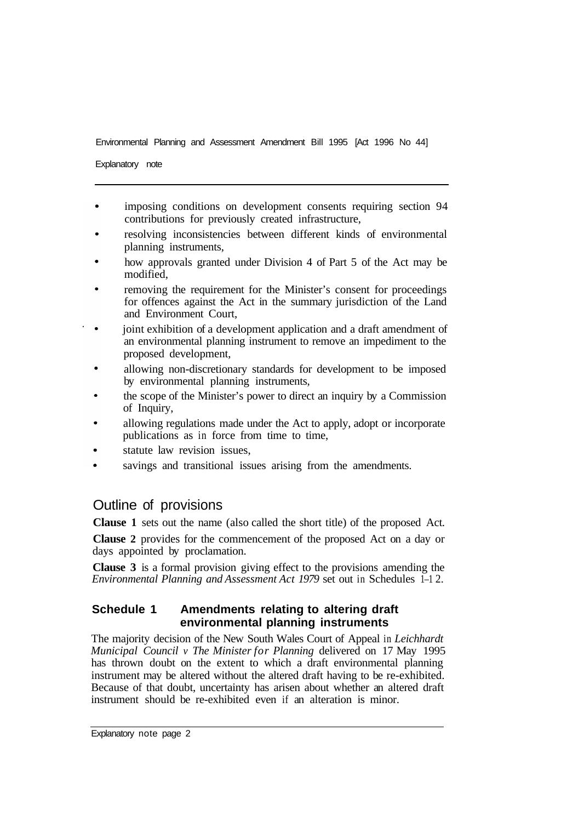Explanatory note

- imposing conditions on development consents requiring section 94 contributions for previously created infrastructure,
- resolving inconsistencies between different kinds of environmental planning instruments,
- how approvals granted under Division 4 of Part 5 of the Act may be modified,
- removing the requirement for the Minister's consent for proceedings for offences against the Act in the summary jurisdiction of the Land and Environment Court,
- joint exhibition of a development application and a draft amendment of an environmental planning instrument to remove an impediment to the proposed development,
- allowing non-discretionary standards for development to be imposed by environmental planning instruments,
- the scope of the Minister's power to direct an inquiry by a Commission of Inquiry,
- allowing regulations made under the Act to apply, adopt or incorporate publications as in force from time to time,
- statute law revision issues,
- savings and transitional issues arising from the amendments.

## Outline of provisions

**Clause 1** sets out the name (also called the short title) of the proposed Act.

**Clause 2** provides for the commencement of the proposed Act on a day or days appointed by proclamation.

**Clause 3** is a formal provision giving effect to the provisions amending the *Environmental Planning and Assessment Act 1979* set out in Schedules 1–1 2.

#### **Schedule 1 Amendments relating to altering draft environmental planning instruments**

The majority decision of the New South Wales Court of Appeal in *Leichhardt Municipal Council v The Minister for Planning* delivered on 17 May 1995 has thrown doubt on the extent to which a draft environmental planning instrument may be altered without the altered draft having to be re-exhibited. Because of that doubt, uncertainty has arisen about whether an altered draft instrument should be re-exhibited even if an alteration is minor.

Explanatory note page 2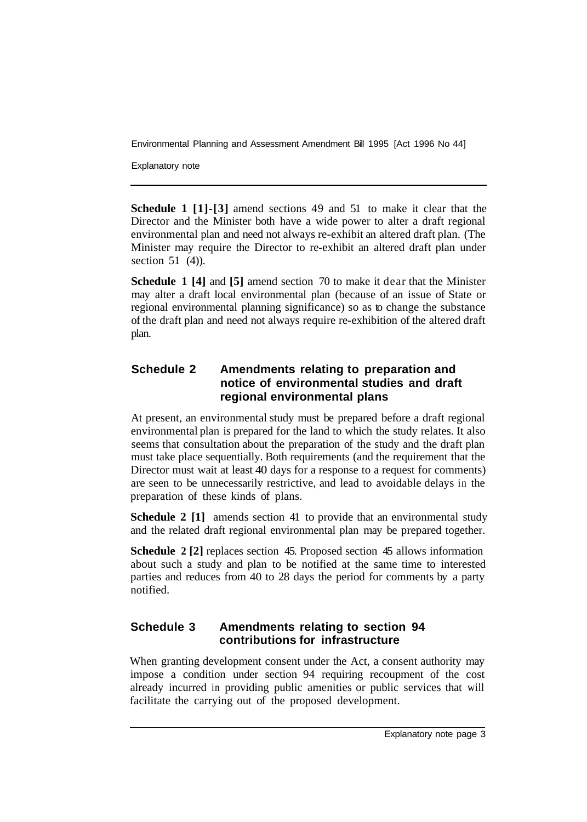Explanatory note

**Schedule 1 [1]-[3]** amend sections 49 and 51 to make it clear that the Director and the Minister both have a wide power to alter a draft regional environmental plan and need not always re-exhibit an altered draft plan. (The Minister may require the Director to re-exhibit an altered draft plan under section 51 (4)).

**Schedule 1 [4]** and **[5]** amend section 70 to make it dear that the Minister may alter a draft local environmental plan (because of an issue of State or regional environmental planning significance) so as to change the substance of the draft plan and need not always require re-exhibition of the altered draft plan.

### **Schedule 2 Amendments relating to preparation and notice of environmental studies and draft regional environmental plans**

At present, an environmental study must be prepared before a draft regional environmental plan is prepared for the land to which the study relates. It also seems that consultation about the preparation of the study and the draft plan must take place sequentially. Both requirements (and the requirement that the Director must wait at least 40 days for a response to a request for comments) are seen to be unnecessarily restrictive, and lead to avoidable delays in the preparation of these kinds of plans.

**Schedule 2 [1]** amends section 41 to provide that an environmental study and the related draft regional environmental plan may be prepared together.

**Schedule 2 [2]** replaces section 45. Proposed section 45 allows information about such a study and plan to be notified at the same time to interested parties and reduces from 40 to 28 days the period for comments by a party notified.

## **Schedule 3 Amendments relating to section 94 contributions for infrastructure**

When granting development consent under the Act, a consent authority may impose a condition under section 94 requiring recoupment of the cost already incurred in providing public amenities or public services that will facilitate the carrying out of the proposed development.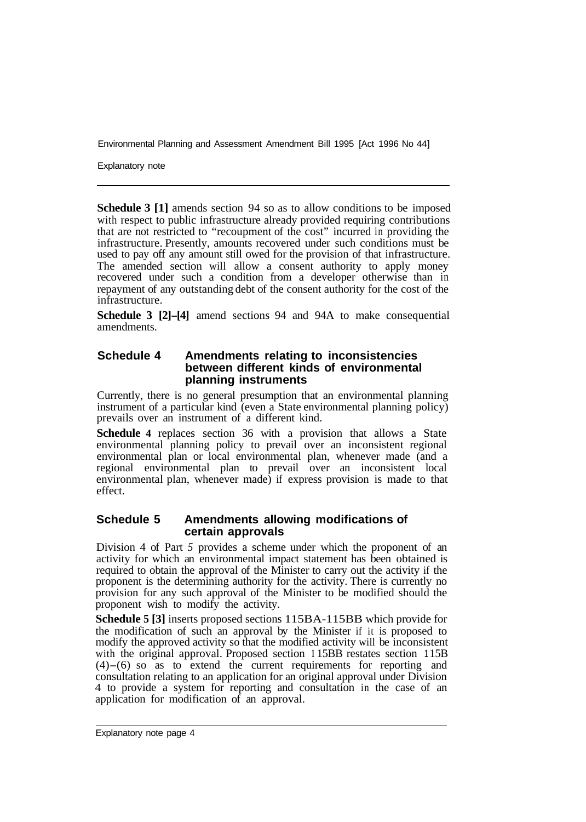Explanatory note

**Schedule 3 [1]** amends section 94 so as to allow conditions to be imposed with respect to public infrastructure already provided requiring contributions that are not restricted to "recoupment of the cost" incurred in providing the infrastructure. Presently, amounts recovered under such conditions must be used to pay off any amount still owed for the provision of that infrastructure. The amended section will allow a consent authority to apply money recovered under such a condition from a developer otherwise than in repayment of any outstanding debt of the consent authority for the cost of the infrastructure.

**Schedule 3 [2]-[4]** amend sections 94 and 94A to make consequential amendments.

#### **Schedule 4 Amendments relating to inconsistencies between different kinds of environmental planning instruments**

Currently, there is no general presumption that an environmental planning instrument of a particular kind (even a State environmental planning policy) prevails over an instrument of a different kind.

**Schedule 4** replaces section 36 with a provision that allows a State environmental planning policy to prevail over an inconsistent regional environmental plan or local environmental plan, whenever made (and a regional environmental plan to prevail over an inconsistent local environmental plan, whenever made) if express provision is made to that effect.

#### **Schedule 5 Amendments allowing modifications of certain approvals**

Division 4 of Part *5* provides a scheme under which the proponent of an activity for which an environmental impact statement has been obtained is required to obtain the approval of the Minister to carry out the activity if the proponent is the determining authority for the activity. There is currently no provision for any such approval of the Minister to be modified should the proponent wish to modify the activity.

**Schedule 5 [3]** inserts proposed sections 115BA-115BB which provide for the modification of such an approval by the Minister if it is proposed to modify the approved activity so that the modified activity will be inconsistent with the original approval. Proposed section 115BB restates section 115B  $(4)$ – $(6)$  so as to extend the current requirements for reporting and consultation relating to an application for an original approval under Division 4 to provide a system for reporting and consultation in the case of an application for modification of an approval.

Explanatory note page 4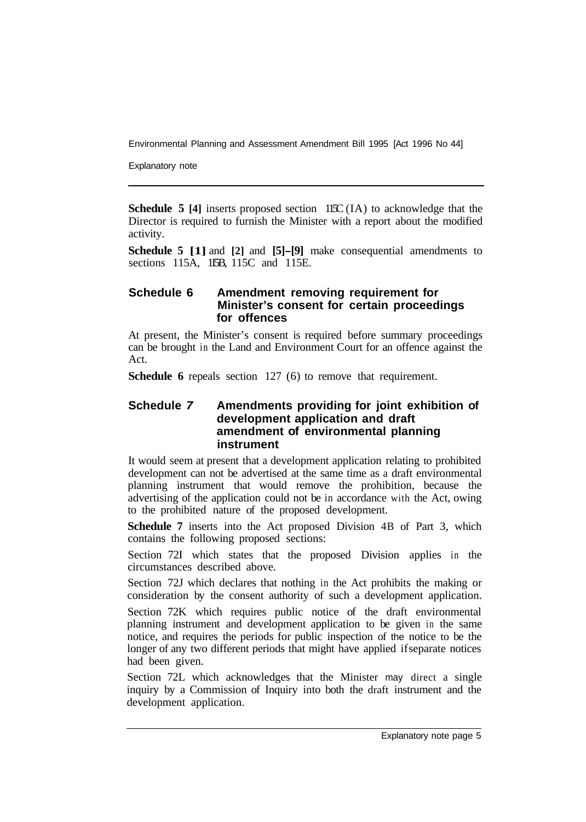Explanatory note

**Schedule 5 [4]** inserts proposed section 115C (IA) to acknowledge that the Director is required to furnish the Minister with a report about the modified activity.

**Schedule 5 [1]** and **[2]** and **[5]-[9]** make consequential amendments to sections 115A, 1I5B, 115C and 115E.

#### **Schedule 6 Amendment removing requirement for Minister's consent for certain proceedings for offences**

At present, the Minister's consent is required before summary proceedings can be brought in the Land and Environment Court for an offence against the Act.

**Schedule 6** repeals section 127 (6) to remove that requirement.

#### **Schedule** *7* **Amendments providing for joint exhibition of development application and draft amendment of environmental planning instrument**

It would seem at present that a development application relating to prohibited development can not be advertised at the same time as a draft environmental planning instrument that would remove the prohibition, because the advertising of the application could not be in accordance with the Act, owing to the prohibited nature of the proposed development.

**Schedule 7** inserts into the Act proposed Division 4B of Part 3, which contains the following proposed sections:

Section 72I which states that the proposed Division applies in the circumstances described above.

Section 72J which declares that nothing in the Act prohibits the making or consideration by the consent authority of such a development application.

Section 72K which requires public notice of the draft environmental planning instrument and development application to be given in the same notice, and requires the periods for public inspection of the notice to be the longer of any two different periods that might have applied if separate notices had been given.

Section 72L which acknowledges that the Minister may direct a single inquiry by a Commission of Inquiry into both the draft instrument and the development application.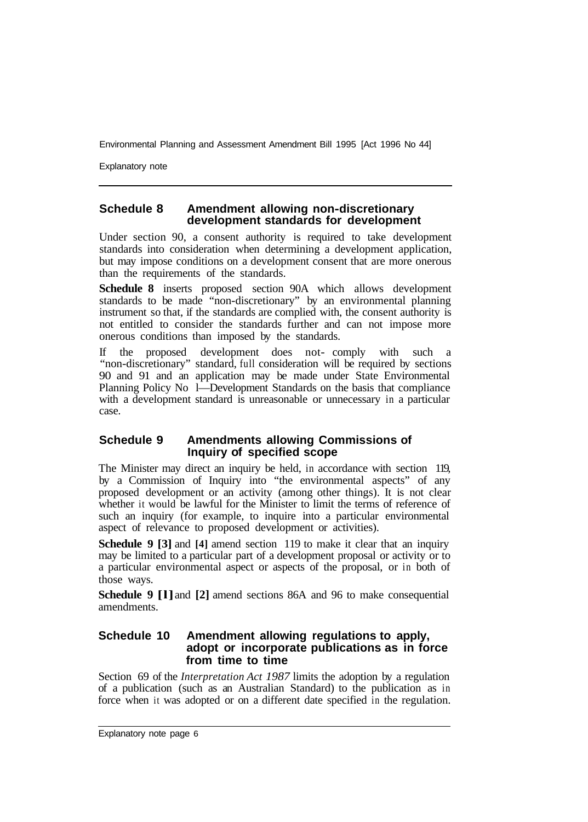Explanatory note

#### **Schedule 8 Amendment allowing non-discretionary development standards for development**

Under section 90, a consent authority is required to take development standards into consideration when determining a development application, but may impose conditions on a development consent that are more onerous than the requirements of the standards.

**Schedule 8** inserts proposed section 90A which allows development standards to be made "non-discretionary" by an environmental planning instrument so that, if the standards are complied with, the consent authority is not entitled to consider the standards further and can not impose more onerous conditions than imposed by the standards.

If the proposed development does not- comply with such a "non-discretionary" standard, full consideration will be required by sections 90 and 91 and an application may be made under State Environmental Planning Policy No 1—Development Standards on the basis that compliance with a development standard is unreasonable or unnecessary in a particular case.

#### **Schedule 9 Amendments allowing Commissions of Inquiry of specified scope**

The Minister may direct an inquiry be held, in accordance with section 119, by a Commission of Inquiry into "the environmental aspects" of any proposed development or an activity (among other things). It is not clear whether it would be lawful for the Minister to limit the terms of reference of such an inquiry (for example, to inquire into a particular environmental aspect of relevance to proposed development or activities).

**Schedule 9 [3] and [4] amend section 119 to make it clear that an inquiry** may be limited to a particular part of a development proposal or activity or to a particular environmental aspect or aspects of the proposal, or in both of those ways.

**Schedule 9 [l]** and **[2]** amend sections 86A and 96 to make consequential amendments.

#### **Schedule 10 Amendment allowing regulations to apply, adopt or incorporate publications as in force from time to time**

Section 69 of the *Interpretation Act 1987* limits the adoption by a regulation of a publication (such as an Australian Standard) to the publication as in force when it was adopted or on a different date specified in the regulation.